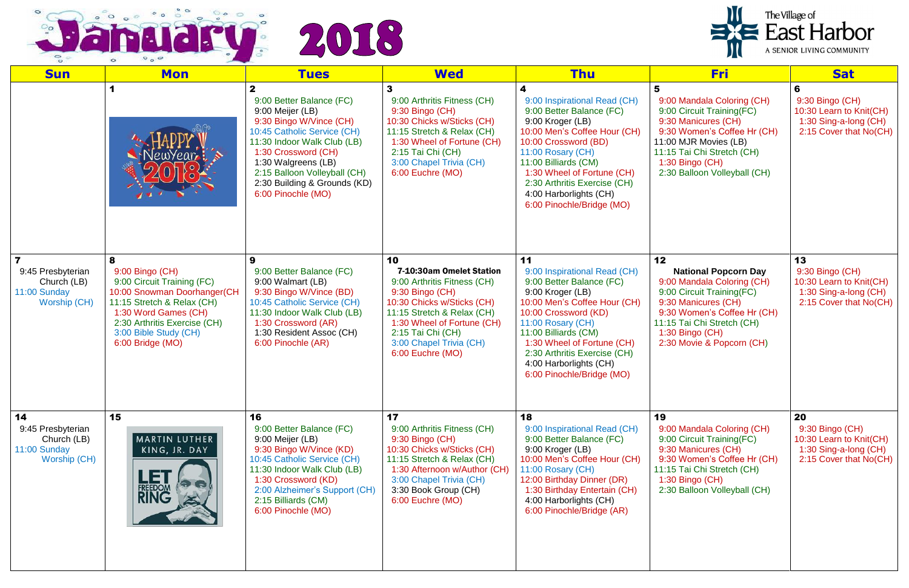

| <b>Sun</b>                                                                    | <b>Mon</b>                                                                                                                                                                                                      | <b>Tues</b>                                                                                                                                                                                                                                                               | <b>Wed</b>                                                                                                                                                                                                                                     | <b>Thu</b>                                                                                                                                                                                                                                                                                                   | <b>Fri</b>                                                                                                                                                                                                                       | <b>Sat</b>                                                                                          |
|-------------------------------------------------------------------------------|-----------------------------------------------------------------------------------------------------------------------------------------------------------------------------------------------------------------|---------------------------------------------------------------------------------------------------------------------------------------------------------------------------------------------------------------------------------------------------------------------------|------------------------------------------------------------------------------------------------------------------------------------------------------------------------------------------------------------------------------------------------|--------------------------------------------------------------------------------------------------------------------------------------------------------------------------------------------------------------------------------------------------------------------------------------------------------------|----------------------------------------------------------------------------------------------------------------------------------------------------------------------------------------------------------------------------------|-----------------------------------------------------------------------------------------------------|
|                                                                               | ewyear                                                                                                                                                                                                          | 9:00 Better Balance (FC)<br>9:00 Meijer (LB)<br>9:30 Bingo W/Vince (CH)<br>10:45 Catholic Service (CH)<br>11:30 Indoor Walk Club (LB)<br>1:30 Crossword (CH)<br>1:30 Walgreens (LB)<br>2:15 Balloon Volleyball (CH)<br>2:30 Building & Grounds (KD)<br>6:00 Pinochle (MO) | 9:00 Arthritis Fitness (CH)<br>9:30 Bingo (CH)<br>10:30 Chicks w/Sticks (CH)<br>11:15 Stretch & Relax (CH)<br>1:30 Wheel of Fortune (CH)<br>2:15 Tai Chi (CH)<br>3:00 Chapel Trivia (CH)<br>6:00 Euchre (MO)                                   | 9:00 Inspirational Read (CH)<br>9:00 Better Balance (FC)<br>9:00 Kroger (LB)<br>10:00 Men's Coffee Hour (CH)<br>10:00 Crossword (BD)<br>11:00 Rosary (CH)<br>11:00 Billiards (CM)<br>1:30 Wheel of Fortune (CH)<br>2:30 Arthritis Exercise (CH)<br>4:00 Harborlights (CH)<br>6:00 Pinochle/Bridge (MO)       | 5<br>9:00 Mandala Coloring (CH)<br>9:00 Circuit Training(FC)<br>9:30 Manicures (CH)<br>9:30 Women's Coffee Hr (CH)<br>11:00 MJR Movies (LB)<br>11:15 Tai Chi Stretch (CH)<br>1:30 Bingo (CH)<br>2:30 Balloon Volleyball (CH)     | 6<br>9:30 Bingo (CH)<br>10:30 Learn to Knit(CH)<br>1:30 Sing-a-long (CH)<br>2:15 Cover that No(CH)  |
| 7<br>9:45 Presbyterian<br>Church (LB)<br>11:00 Sunday<br>Worship (CH)         | 9:00 Bingo (CH)<br>9:00 Circuit Training (FC)<br>10:00 Snowman Doorhanger(CH<br>11:15 Stretch & Relax (CH)<br>1:30 Word Games (CH)<br>2:30 Arthritis Exercise (CH)<br>3:00 Bible Study (CH)<br>6:00 Bridge (MO) | 9:00 Better Balance (FC)<br>9:00 Walmart (LB)<br>9:30 Bingo W/Vince (BD)<br>10:45 Catholic Service (CH)<br>11:30 Indoor Walk Club (LB)<br>1:30 Crossword (AR)<br>1:30 Resident Assoc (CH)<br>6:00 Pinochle (AR)                                                           | 10<br>7-10:30am Omelet Station<br>9:00 Arthritis Fitness (CH)<br>9:30 Bingo (CH)<br>10:30 Chicks w/Sticks (CH)<br>11:15 Stretch & Relax (CH)<br>1:30 Wheel of Fortune (CH)<br>2:15 Tai Chi (CH)<br>3:00 Chapel Trivia (CH)<br>6:00 Euchre (MO) | 11<br>9:00 Inspirational Read (CH)<br>9:00 Better Balance (FC)<br>9:00 Kroger (LB)<br>10:00 Men's Coffee Hour (CH)<br>10:00 Crossword (KD)<br>11:00 Rosary (CH)<br>11:00 Billiards (CM)<br>1:30 Wheel of Fortune (CH)<br>2:30 Arthritis Exercise (CH)<br>4:00 Harborlights (CH)<br>6:00 Pinochle/Bridge (MO) | 12<br><b>National Popcorn Day</b><br>9:00 Mandala Coloring (CH)<br>9:00 Circuit Training(FC)<br>9:30 Manicures (CH)<br>9:30 Women's Coffee Hr (CH)<br>11:15 Tai Chi Stretch (CH)<br>1:30 Bingo (CH)<br>2:30 Movie & Popcorn (CH) | 13<br>9:30 Bingo (CH)<br>10:30 Learn to Knit(CH)<br>1:30 Sing-a-long (CH)<br>2:15 Cover that No(CH) |
| 14<br>9:45 Presbyterian<br>Church (LB)<br>11:00 Sunday<br><b>Worship (CH)</b> | 15<br>MARTIN LUTHER<br>KING, JR. DAY                                                                                                                                                                            | 16<br>9:00 Better Balance (FC)<br>9:00 Meijer (LB)<br>9:30 Bingo W/Vince (KD)<br>10:45 Catholic Service (CH)<br>11:30 Indoor Walk Club (LB)<br>1:30 Crossword (KD)<br>2:00 Alzheimer's Support (CH)<br>2:15 Billiards (CM)<br>6:00 Pinochle (MO)                          | 17<br>9:00 Arthritis Fitness (CH)<br>9:30 Bingo (CH)<br>10:30 Chicks w/Sticks (CH)<br>11:15 Stretch & Relax (CH)<br>1:30 Afternoon w/Author (CH)<br>3:00 Chapel Trivia (CH)<br>3:30 Book Group (CH)<br>6:00 Euchre (MO)                        | 18<br>9:00 Inspirational Read (CH)<br>9:00 Better Balance (FC)<br>9:00 Kroger (LB)<br>10:00 Men's Coffee Hour (CH)<br>11:00 Rosary (CH)<br>12:00 Birthday Dinner (DR)<br>1:30 Birthday Entertain (CH)<br>4:00 Harborlights (CH)<br>6:00 Pinochle/Bridge (AR)                                                 | 19<br>9:00 Mandala Coloring (CH)<br>9:00 Circuit Training(FC)<br>9:30 Manicures (CH)<br>9:30 Women's Coffee Hr (CH)<br>11:15 Tai Chi Stretch (CH)<br>1:30 Bingo (CH)<br>2:30 Balloon Volleyball (CH)                             | 20<br>9:30 Bingo (CH)<br>10:30 Learn to Knit(CH)<br>1:30 Sing-a-long (CH)<br>2:15 Cover that No(CH) |

## The Village of<br>East Harbor A SENIOR LIVING COMMUNITY